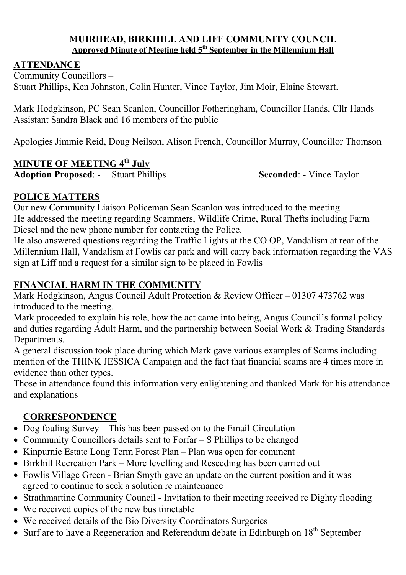#### **MUIRHEAD, BIRKHILL AND LIFF COMMUNITY COUNCIL Approved Minute of Meeting held 5th September in the Millennium Hall**

#### **ATTENDANCE**

Community Councillors – Stuart Phillips, Ken Johnston, Colin Hunter, Vince Taylor, Jim Moir, Elaine Stewart.

Mark Hodgkinson, PC Sean Scanlon, Councillor Fotheringham, Councillor Hands, Cllr Hands Assistant Sandra Black and 16 members of the public

Apologies Jimmie Reid, Doug Neilson, Alison French, Councillor Murray, Councillor Thomson

## **MINUTE OF MEETING 4th July**

**Adoption Proposed:** - Stuart Phillips **Seconded:** - Vince Taylor

#### **POLICE MATTERS**

Our new Community Liaison Policeman Sean Scanlon was introduced to the meeting. He addressed the meeting regarding Scammers, Wildlife Crime, Rural Thefts including Farm Diesel and the new phone number for contacting the Police.

He also answered questions regarding the Traffic Lights at the CO OP, Vandalism at rear of the Millennium Hall, Vandalism at Fowlis car park and will carry back information regarding the VAS sign at Liff and a request for a similar sign to be placed in Fowlis

## **FINANCIAL HARM IN THE COMMUNITY**

Mark Hodgkinson, Angus Council Adult Protection & Review Officer – 01307 473762 was introduced to the meeting.

Mark proceeded to explain his role, how the act came into being, Angus Council's formal policy and duties regarding Adult Harm, and the partnership between Social Work & Trading Standards Departments.

A general discussion took place during which Mark gave various examples of Scams including mention of the THINK JESSICA Campaign and the fact that financial scams are 4 times more in evidence than other types.

Those in attendance found this information very enlightening and thanked Mark for his attendance and explanations

#### **CORRESPONDENCE**

- Dog fouling Survey This has been passed on to the Email Circulation
- Community Councillors details sent to Forfar S Phillips to be changed
- Kinpurnie Estate Long Term Forest Plan Plan was open for comment
- Birkhill Recreation Park More levelling and Reseeding has been carried out
- Fowlis Village Green Brian Smyth gave an update on the current position and it was agreed to continue to seek a solution re maintenance
- Strathmartine Community Council Invitation to their meeting received re Dighty flooding
- We received copies of the new bus timetable
- We received details of the Bio Diversity Coordinators Surgeries
- Surf are to have a Regeneration and Referendum debate in Edinburgh on  $18<sup>th</sup>$  September